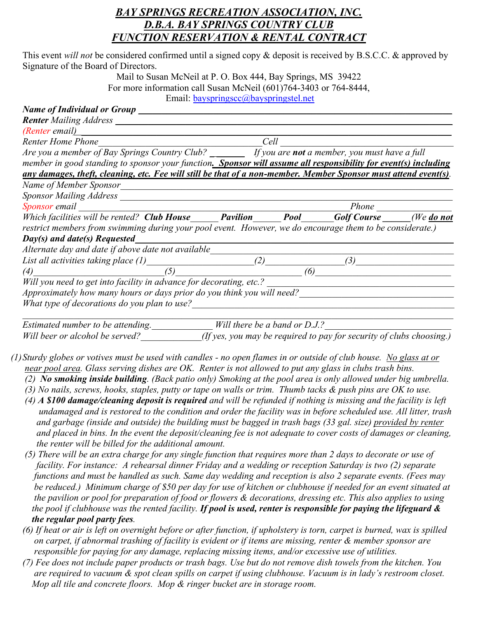## *BAY SPRINGS RECREATION ASSOCIATION, INC. D.B.A. BAY SPRINGS COUNTRY CLUB FUNCTION RESERVATION & RENTAL CONTRACT*

This event *will not* be considered confirmed until a signed copy & deposit is received by B.S.C.C. & approved by Signature of the Board of Directors.

> Mail to Susan McNeil at P. O. Box 444, Bay Springs, MS 39422 For more information call Susan McNeil (601)764-3403 or 764-8444, Email: [bayspringscc@bayspringstel.net](mailto:bayspringscc@bayspringstel.net)

| <b>Name of Individual or Group</b>                                                                              |                                                                                                                                   |                                                                                                        |     |  |
|-----------------------------------------------------------------------------------------------------------------|-----------------------------------------------------------------------------------------------------------------------------------|--------------------------------------------------------------------------------------------------------|-----|--|
| <b>Renter</b> Mailing Address __                                                                                |                                                                                                                                   |                                                                                                        |     |  |
| (Renter email)                                                                                                  |                                                                                                                                   |                                                                                                        |     |  |
| <b>Renter Home Phone</b>                                                                                        | Cell                                                                                                                              |                                                                                                        |     |  |
|                                                                                                                 | Renter Home Phone<br>Are you a member of Bay Springs Country Club? _________ If you are <b>not</b> a member, you must have a full |                                                                                                        |     |  |
| member in good standing to sponsor your function. Sponsor will assume all responsibility for event(s) including |                                                                                                                                   |                                                                                                        |     |  |
| any damages, theft, cleaning, etc. Fee will still be that of a non-member. Member Sponsor must attend event(s). |                                                                                                                                   |                                                                                                        |     |  |
| Name of Member Sponsor                                                                                          |                                                                                                                                   |                                                                                                        |     |  |
| Sponsor Mailing Address Sponsor Mailing Address                                                                 |                                                                                                                                   |                                                                                                        |     |  |
| Sponsor email                                                                                                   |                                                                                                                                   | Sponsor email Phone<br>Which facilities will be rented? Club House Pavilion Pool Golf Course Media not |     |  |
|                                                                                                                 |                                                                                                                                   |                                                                                                        |     |  |
| restrict members from swimming during your pool event. However, we do encourage them to be considerate.)        |                                                                                                                                   |                                                                                                        |     |  |
| $Day(s)$ and date(s) Requested                                                                                  |                                                                                                                                   |                                                                                                        |     |  |
| Alternate day and date if above date not available                                                              |                                                                                                                                   |                                                                                                        |     |  |
| List all activities taking place (1)                                                                            | (2)                                                                                                                               |                                                                                                        | (3) |  |
| (5)<br>(4)                                                                                                      |                                                                                                                                   | (6)                                                                                                    |     |  |
| Will you need to get into facility in advance for decorating, etc.?                                             |                                                                                                                                   |                                                                                                        |     |  |
| Approximately how many hours or days prior do you think you will need?                                          |                                                                                                                                   |                                                                                                        |     |  |
| What type of decorations do you plan to use?                                                                    |                                                                                                                                   |                                                                                                        |     |  |
| Estimated number to be attending                                                                                | Will there be a band or $D1$                                                                                                      |                                                                                                        |     |  |

*Estimated number to be attending.* Mill there be a band or D.J.? *Will beer or alcohol be served? (If yes, you may be required to pay for security of clubs choosing.)* 

- *(1)Sturdy globes or votives must be used with candles - no open flames in or outside of club house. No glass at or near pool area. Glass serving dishes are OK. Renter is not allowed to put any glass in clubs trash bins.*
	- *(2) No smoking inside building. (Back patio only) Smoking at the pool area is only allowed under big umbrella.*
	- *(3) No nails, screws, hooks, staples, putty or tape on walls or trim. Thumb tacks & push pins are OK to use.*
	- *(4) A \$100 damage/cleaning deposit is required and will be refunded if nothing is missing and the facility is left undamaged and is restored to the condition and order the facility was in before scheduled use. All litter, trash and garbage (inside and outside) the building must be bagged in trash bags (33 gal. size) provided by renter and placed in bins. In the event the deposit/cleaning fee is not adequate to cover costs of damages or cleaning, the renter will be billed for the additional amount.*
	- *(5) There will be an extra charge for any single function that requires more than 2 days to decorate or use of facility. For instance: A rehearsal dinner Friday and a wedding or reception Saturday is two (2) separate functions and must be handled as such. Same day wedding and reception is also 2 separate events. (Fees may be reduced.) Minimum charge of \$50 per day for use of kitchen or clubhouse if needed for an event situated at the pavilion or pool for preparation of food or flowers & decorations, dressing etc. This also applies to using the pool if clubhouse was the rented facility. If pool is used, renter is responsible for paying the lifeguard & the regular pool party fees.*
	- *(6) If heat or air is left on overnight before or after function, if upholstery is torn, carpet is burned, wax is spilled on carpet, if abnormal trashing of facility is evident or if items are missing, renter & member sponsor are responsible for paying for any damage, replacing missing items, and/or excessive use of utilities.*
	- *(7) Fee does not include paper products or trash bags. Use but do not remove dish towels from the kitchen. You are required to vacuum & spot clean spills on carpet if using clubhouse. Vacuum is in lady's restroom closet. Mop all tile and concrete floors. Mop & ringer bucket are in storage room.*